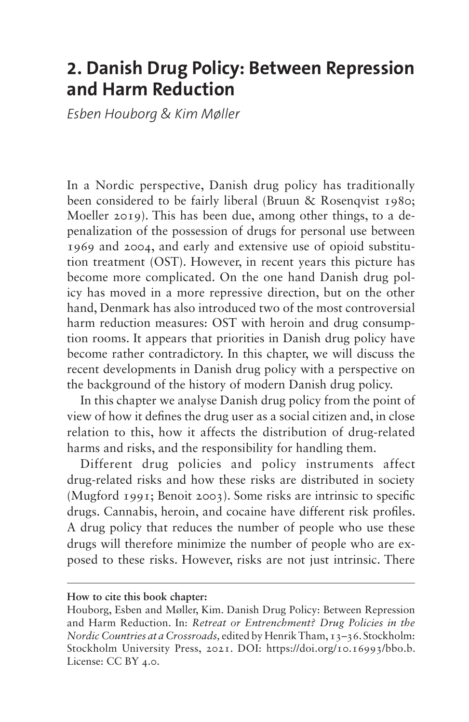# **2. Danish Drug Policy: Between Repression and Harm Reduction**

*Esben Houborg & Kim Møller*

In a Nordic perspective, Danish drug policy has traditionally been considered to be fairly liberal (Bruun & Rosenqvist 1980; Moeller 2019). This has been due, among other things, to a depenalization of the possession of drugs for personal use between 1969 and 2004, and early and extensive use of opioid substitution treatment (OST). However, in recent years this picture has become more complicated. On the one hand Danish drug policy has moved in a more repressive direction, but on the other hand, Denmark has also introduced two of the most controversial harm reduction measures: OST with heroin and drug consumption rooms. It appears that priorities in Danish drug policy have become rather contradictory. In this chapter, we will discuss the recent developments in Danish drug policy with a perspective on the background of the history of modern Danish drug policy.

In this chapter we analyse Danish drug policy from the point of view of how it defines the drug user as a social citizen and, in close relation to this, how it affects the distribution of drug-related harms and risks, and the responsibility for handling them.

Different drug policies and policy instruments affect drug-related risks and how these risks are distributed in society (Mugford 1991; Benoit 2003). Some risks are intrinsic to specific drugs. Cannabis, heroin, and cocaine have different risk profiles. A drug policy that reduces the number of people who use these drugs will therefore minimize the number of people who are exposed to these risks. However, risks are not just intrinsic. There

**How to cite this book chapter:**

Houborg, Esben and Møller, Kim. Danish Drug Policy: Between Repression and Harm Reduction. In: *Retreat or Entrenchment? Drug Policies in the Nordic Countries at a Crossroads,* edited by Henrik Tham, 13–36. Stockholm: Stockholm University Press, 2021. DOI: <https://doi.org/10.16993/bbo.b>. License: CC BY 4.0.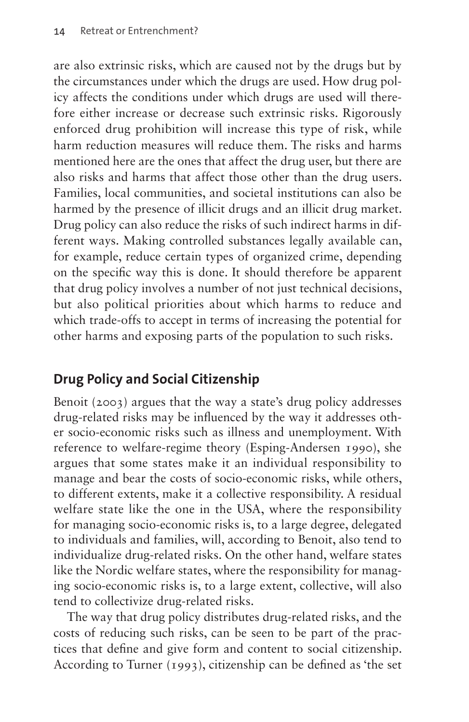are also extrinsic risks, which are caused not by the drugs but by the circumstances under which the drugs are used. How drug policy affects the conditions under which drugs are used will therefore either increase or decrease such extrinsic risks. Rigorously enforced drug prohibition will increase this type of risk, while harm reduction measures will reduce them. The risks and harms mentioned here are the ones that affect the drug user, but there are also risks and harms that affect those other than the drug users. Families, local communities, and societal institutions can also be harmed by the presence of illicit drugs and an illicit drug market. Drug policy can also reduce the risks of such indirect harms in different ways. Making controlled substances legally available can, for example, reduce certain types of organized crime, depending on the specific way this is done. It should therefore be apparent that drug policy involves a number of not just technical decisions, but also political priorities about which harms to reduce and which trade-offs to accept in terms of increasing the potential for other harms and exposing parts of the population to such risks.

## **Drug Policy and Social Citizenship**

Benoit (2003) argues that the way a state's drug policy addresses drug-related risks may be influenced by the way it addresses other socio-economic risks such as illness and unemployment. With reference to welfare-regime theory (Esping-Andersen 1990), she argues that some states make it an individual responsibility to manage and bear the costs of socio-economic risks, while others, to different extents, make it a collective responsibility. A residual welfare state like the one in the USA, where the responsibility for managing socio-economic risks is, to a large degree, delegated to individuals and families, will, according to Benoit, also tend to individualize drug-related risks. On the other hand, welfare states like the Nordic welfare states, where the responsibility for managing socio-economic risks is, to a large extent, collective, will also tend to collectivize drug-related risks.

The way that drug policy distributes drug-related risks, and the costs of reducing such risks, can be seen to be part of the practices that define and give form and content to social citizenship. According to Turner (1993), citizenship can be defined as 'the set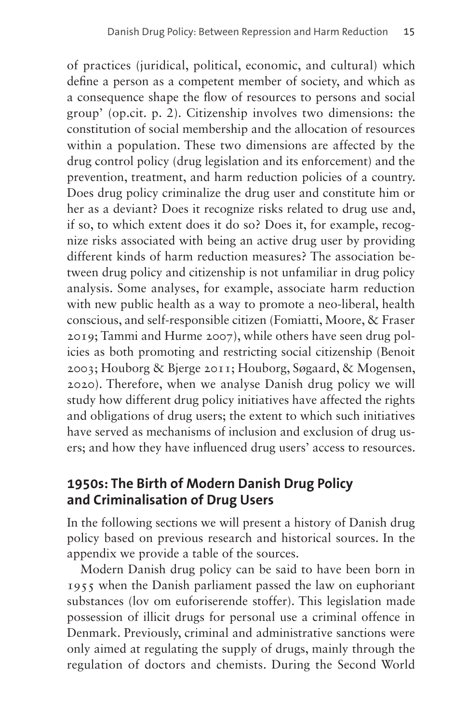of practices (juridical, political, economic, and cultural) which define a person as a competent member of society, and which as a consequence shape the flow of resources to persons and social group' (op.cit. p. 2). Citizenship involves two dimensions: the constitution of social membership and the allocation of resources within a population. These two dimensions are affected by the drug control policy (drug legislation and its enforcement) and the prevention, treatment, and harm reduction policies of a country. Does drug policy criminalize the drug user and constitute him or her as a deviant? Does it recognize risks related to drug use and, if so, to which extent does it do so? Does it, for example, recognize risks associated with being an active drug user by providing different kinds of harm reduction measures? The association between drug policy and citizenship is not unfamiliar in drug policy analysis. Some analyses, for example, associate harm reduction with new public health as a way to promote a neo-liberal, health conscious, and self-responsible citizen (Fomiatti, Moore, & Fraser 2019; Tammi and Hurme 2007), while others have seen drug policies as both promoting and restricting social citizenship (Benoit 2003; Houborg & Bjerge 2011; Houborg, Søgaard, & Mogensen, 2020). Therefore, when we analyse Danish drug policy we will study how different drug policy initiatives have affected the rights and obligations of drug users; the extent to which such initiatives have served as mechanisms of inclusion and exclusion of drug users; and how they have influenced drug users' access to resources.

#### **1950s: The Birth of Modern Danish Drug Policy and Criminalisation of Drug Users**

In the following sections we will present a history of Danish drug policy based on previous research and historical sources. In the appendix we provide a table of the sources.

Modern Danish drug policy can be said to have been born in 1955 when the Danish parliament passed the law on euphoriant substances (lov om euforiserende stoffer). This legislation made possession of illicit drugs for personal use a criminal offence in Denmark. Previously, criminal and administrative sanctions were only aimed at regulating the supply of drugs, mainly through the regulation of doctors and chemists. During the Second World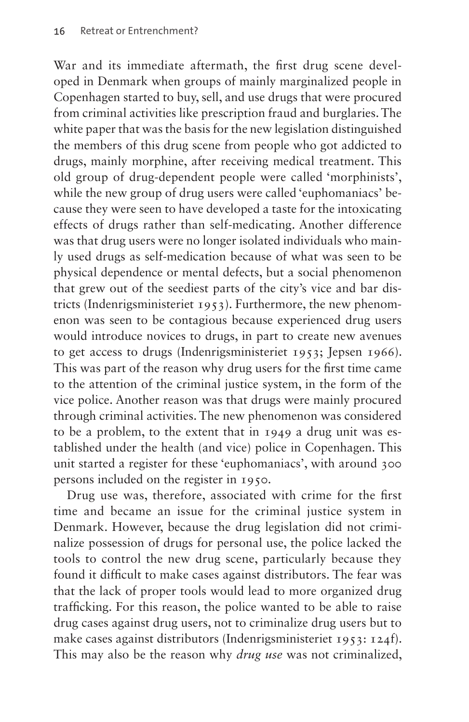War and its immediate aftermath, the first drug scene developed in Denmark when groups of mainly marginalized people in Copenhagen started to buy, sell, and use drugs that were procured from criminal activities like prescription fraud and burglaries. The white paper that was the basis for the new legislation distinguished the members of this drug scene from people who got addicted to drugs, mainly morphine, after receiving medical treatment. This old group of drug-dependent people were called 'morphinists', while the new group of drug users were called 'euphomaniacs' because they were seen to have developed a taste for the intoxicating effects of drugs rather than self-medicating. Another difference was that drug users were no longer isolated individuals who mainly used drugs as self-medication because of what was seen to be physical dependence or mental defects, but a social phenomenon that grew out of the seediest parts of the city's vice and bar districts (Indenrigsministeriet 1953). Furthermore, the new phenomenon was seen to be contagious because experienced drug users would introduce novices to drugs, in part to create new avenues to get access to drugs (Indenrigsministeriet 1953; Jepsen 1966). This was part of the reason why drug users for the first time came to the attention of the criminal justice system, in the form of the vice police. Another reason was that drugs were mainly procured through criminal activities. The new phenomenon was considered to be a problem, to the extent that in 1949 a drug unit was established under the health (and vice) police in Copenhagen. This unit started a register for these 'euphomaniacs', with around 300 persons included on the register in 1950.

Drug use was, therefore, associated with crime for the first time and became an issue for the criminal justice system in Denmark. However, because the drug legislation did not criminalize possession of drugs for personal use, the police lacked the tools to control the new drug scene, particularly because they found it difficult to make cases against distributors. The fear was that the lack of proper tools would lead to more organized drug trafficking. For this reason, the police wanted to be able to raise drug cases against drug users, not to criminalize drug users but to make cases against distributors (Indenrigsministeriet 1953: 124f). This may also be the reason why *drug use* was not criminalized,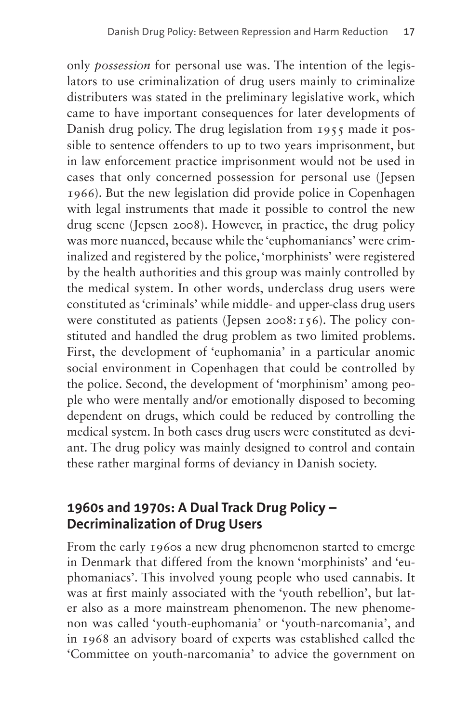only *possession* for personal use was. The intention of the legislators to use criminalization of drug users mainly to criminalize distributers was stated in the preliminary legislative work, which came to have important consequences for later developments of Danish drug policy. The drug legislation from 1955 made it possible to sentence offenders to up to two years imprisonment, but in law enforcement practice imprisonment would not be used in cases that only concerned possession for personal use (Jepsen 1966). But the new legislation did provide police in Copenhagen with legal instruments that made it possible to control the new drug scene (Jepsen 2008). However, in practice, the drug policy was more nuanced, because while the 'euphomaniancs' were criminalized and registered by the police, 'morphinists' were registered by the health authorities and this group was mainly controlled by the medical system. In other words, underclass drug users were constituted as 'criminals' while middle- and upper-class drug users were constituted as patients (Jepsen 2008:  $156$ ). The policy constituted and handled the drug problem as two limited problems. First, the development of 'euphomania' in a particular anomic social environment in Copenhagen that could be controlled by the police. Second, the development of 'morphinism' among people who were mentally and/or emotionally disposed to becoming dependent on drugs, which could be reduced by controlling the medical system. In both cases drug users were constituted as deviant. The drug policy was mainly designed to control and contain these rather marginal forms of deviancy in Danish society.

### **1960s and 1970s: A Dual Track Drug Policy – Decriminalization of Drug Users**

From the early 1960s a new drug phenomenon started to emerge in Denmark that differed from the known 'morphinists' and 'euphomaniacs'. This involved young people who used cannabis. It was at first mainly associated with the 'youth rebellion', but later also as a more mainstream phenomenon. The new phenomenon was called 'youth-euphomania' or 'youth-narcomania', and in 1968 an advisory board of experts was established called the 'Committee on youth-narcomania' to advice the government on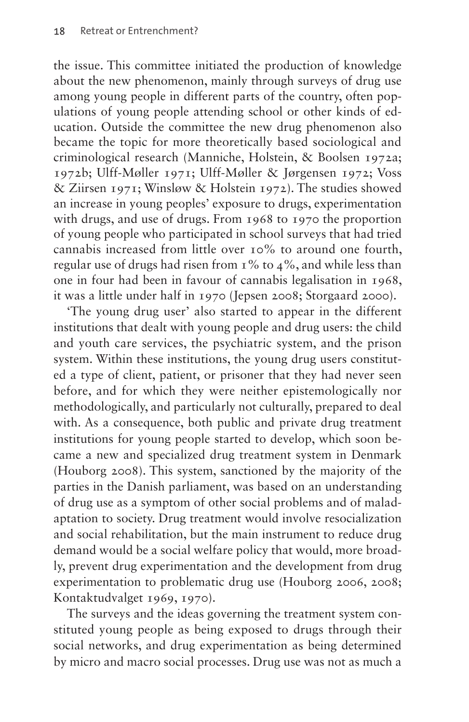the issue. This committee initiated the production of knowledge about the new phenomenon, mainly through surveys of drug use among young people in different parts of the country, often populations of young people attending school or other kinds of education. Outside the committee the new drug phenomenon also became the topic for more theoretically based sociological and criminological research (Manniche, Holstein, & Boolsen 1972a; 1972b; Ulff-Møller 1971; Ulff-Møller & Jørgensen 1972; Voss & Ziirsen 1971; Winsløw & Holstein 1972). The studies showed an increase in young peoples' exposure to drugs, experimentation with drugs, and use of drugs. From 1968 to 1970 the proportion of young people who participated in school surveys that had tried cannabis increased from little over 10% to around one fourth, regular use of drugs had risen from 1% to 4%, and while less than one in four had been in favour of cannabis legalisation in 1968, it was a little under half in 1970 (Jepsen 2008; Storgaard 2000).

'The young drug user' also started to appear in the different institutions that dealt with young people and drug users: the child and youth care services, the psychiatric system, and the prison system. Within these institutions, the young drug users constituted a type of client, patient, or prisoner that they had never seen before, and for which they were neither epistemologically nor methodologically, and particularly not culturally, prepared to deal with. As a consequence, both public and private drug treatment institutions for young people started to develop, which soon became a new and specialized drug treatment system in Denmark (Houborg 2008). This system, sanctioned by the majority of the parties in the Danish parliament, was based on an understanding of drug use as a symptom of other social problems and of maladaptation to society. Drug treatment would involve resocialization and social rehabilitation, but the main instrument to reduce drug demand would be a social welfare policy that would, more broadly, prevent drug experimentation and the development from drug experimentation to problematic drug use (Houborg 2006, 2008; Kontaktudvalget 1969, 1970).

The surveys and the ideas governing the treatment system constituted young people as being exposed to drugs through their social networks, and drug experimentation as being determined by micro and macro social processes. Drug use was not as much a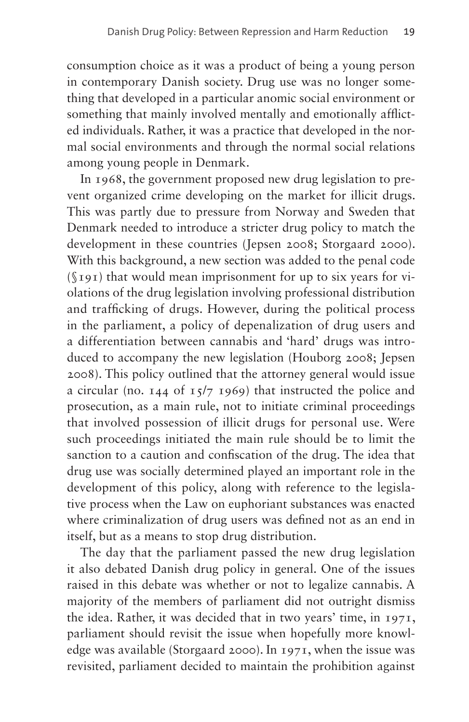consumption choice as it was a product of being a young person in contemporary Danish society. Drug use was no longer something that developed in a particular anomic social environment or something that mainly involved mentally and emotionally afflicted individuals. Rather, it was a practice that developed in the normal social environments and through the normal social relations among young people in Denmark.

In 1968, the government proposed new drug legislation to prevent organized crime developing on the market for illicit drugs. This was partly due to pressure from Norway and Sweden that Denmark needed to introduce a stricter drug policy to match the development in these countries (Jepsen 2008; Storgaard 2000). With this background, a new section was added to the penal code (§191) that would mean imprisonment for up to six years for violations of the drug legislation involving professional distribution and trafficking of drugs. However, during the political process in the parliament, a policy of depenalization of drug users and a differentiation between cannabis and 'hard' drugs was introduced to accompany the new legislation (Houborg 2008; Jepsen 2008). This policy outlined that the attorney general would issue a circular (no.  $144$  of  $15/7$  1969) that instructed the police and prosecution, as a main rule, not to initiate criminal proceedings that involved possession of illicit drugs for personal use. Were such proceedings initiated the main rule should be to limit the sanction to a caution and confiscation of the drug. The idea that drug use was socially determined played an important role in the development of this policy, along with reference to the legislative process when the Law on euphoriant substances was enacted where criminalization of drug users was defined not as an end in itself, but as a means to stop drug distribution.

The day that the parliament passed the new drug legislation it also debated Danish drug policy in general. One of the issues raised in this debate was whether or not to legalize cannabis. A majority of the members of parliament did not outright dismiss the idea. Rather, it was decided that in two years' time, in 1971, parliament should revisit the issue when hopefully more knowledge was available (Storgaard 2000). In 1971, when the issue was revisited, parliament decided to maintain the prohibition against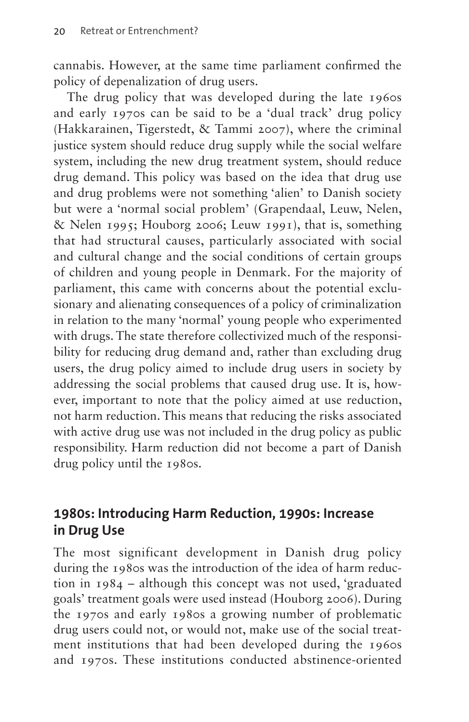cannabis. However, at the same time parliament confirmed the policy of depenalization of drug users.

The drug policy that was developed during the late 1960s and early 1970s can be said to be a 'dual track' drug policy (Hakkarainen, Tigerstedt, & Tammi 2007), where the criminal justice system should reduce drug supply while the social welfare system, including the new drug treatment system, should reduce drug demand. This policy was based on the idea that drug use and drug problems were not something 'alien' to Danish society but were a 'normal social problem' (Grapendaal, Leuw, Nelen, & Nelen 1995; Houborg 2006; Leuw 1991), that is, something that had structural causes, particularly associated with social and cultural change and the social conditions of certain groups of children and young people in Denmark. For the majority of parliament, this came with concerns about the potential exclusionary and alienating consequences of a policy of criminalization in relation to the many 'normal' young people who experimented with drugs. The state therefore collectivized much of the responsibility for reducing drug demand and, rather than excluding drug users, the drug policy aimed to include drug users in society by addressing the social problems that caused drug use. It is, however, important to note that the policy aimed at use reduction, not harm reduction. This means that reducing the risks associated with active drug use was not included in the drug policy as public responsibility. Harm reduction did not become a part of Danish drug policy until the 1980s.

#### **1980s: Introducing Harm Reduction, 1990s: Increase in Drug Use**

The most significant development in Danish drug policy during the 1980s was the introduction of the idea of harm reduction in 1984 – although this concept was not used, 'graduated goals' treatment goals were used instead (Houborg 2006). During the 1970s and early 1980s a growing number of problematic drug users could not, or would not, make use of the social treatment institutions that had been developed during the 1960s and 1970s. These institutions conducted abstinence-oriented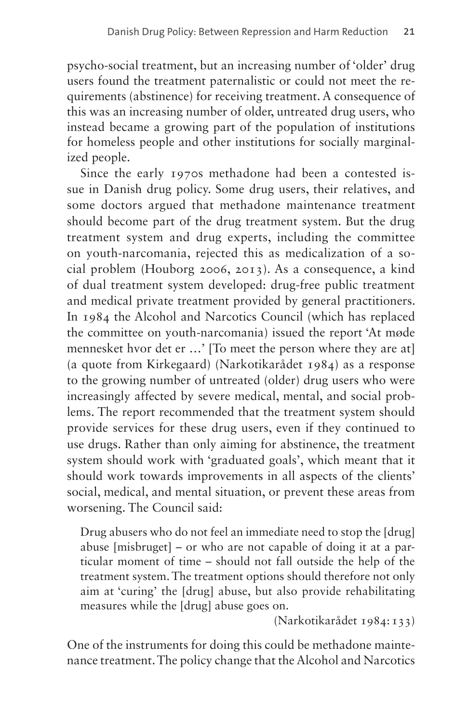psycho-social treatment, but an increasing number of 'older' drug users found the treatment paternalistic or could not meet the requirements (abstinence) for receiving treatment. A consequence of this was an increasing number of older, untreated drug users, who instead became a growing part of the population of institutions for homeless people and other institutions for socially marginalized people.

Since the early 1970s methadone had been a contested issue in Danish drug policy. Some drug users, their relatives, and some doctors argued that methadone maintenance treatment should become part of the drug treatment system. But the drug treatment system and drug experts, including the committee on youth-narcomania, rejected this as medicalization of a social problem (Houborg 2006, 2013). As a consequence, a kind of dual treatment system developed: drug-free public treatment and medical private treatment provided by general practitioners. In 1984 the Alcohol and Narcotics Council (which has replaced the committee on youth-narcomania) issued the report 'At møde mennesket hvor det er …' [To meet the person where they are at] (a quote from Kirkegaard) (Narkotikarådet 1984) as a response to the growing number of untreated (older) drug users who were increasingly affected by severe medical, mental, and social problems. The report recommended that the treatment system should provide services for these drug users, even if they continued to use drugs. Rather than only aiming for abstinence, the treatment system should work with 'graduated goals', which meant that it should work towards improvements in all aspects of the clients' social, medical, and mental situation, or prevent these areas from worsening. The Council said:

Drug abusers who do not feel an immediate need to stop the [drug] abuse [misbruget] – or who are not capable of doing it at a particular moment of time – should not fall outside the help of the treatment system. The treatment options should therefore not only aim at 'curing' the [drug] abuse, but also provide rehabilitating measures while the [drug] abuse goes on.

(Narkotikarådet 1984:133)

One of the instruments for doing this could be methadone maintenance treatment. The policy change that the Alcohol and Narcotics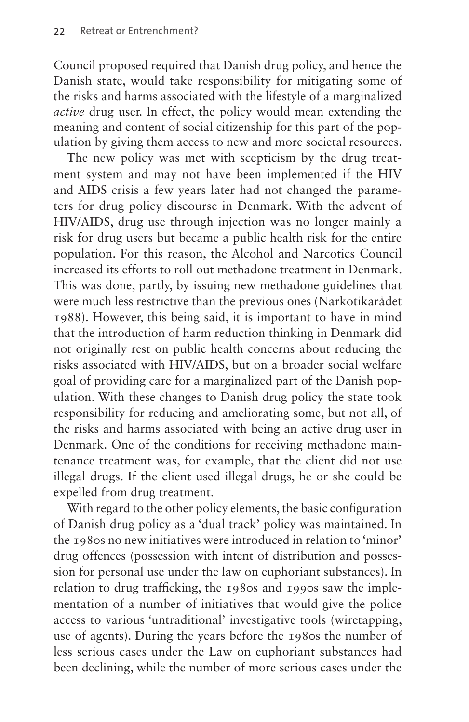Council proposed required that Danish drug policy, and hence the Danish state, would take responsibility for mitigating some of the risks and harms associated with the lifestyle of a marginalized *active* drug user. In effect, the policy would mean extending the meaning and content of social citizenship for this part of the population by giving them access to new and more societal resources.

The new policy was met with scepticism by the drug treatment system and may not have been implemented if the HIV and AIDS crisis a few years later had not changed the parameters for drug policy discourse in Denmark. With the advent of HIV/AIDS, drug use through injection was no longer mainly a risk for drug users but became a public health risk for the entire population. For this reason, the Alcohol and Narcotics Council increased its efforts to roll out methadone treatment in Denmark. This was done, partly, by issuing new methadone guidelines that were much less restrictive than the previous ones (Narkotikarådet 1988). However, this being said, it is important to have in mind that the introduction of harm reduction thinking in Denmark did not originally rest on public health concerns about reducing the risks associated with HIV/AIDS, but on a broader social welfare goal of providing care for a marginalized part of the Danish population. With these changes to Danish drug policy the state took responsibility for reducing and ameliorating some, but not all, of the risks and harms associated with being an active drug user in Denmark. One of the conditions for receiving methadone maintenance treatment was, for example, that the client did not use illegal drugs. If the client used illegal drugs, he or she could be expelled from drug treatment.

With regard to the other policy elements, the basic configuration of Danish drug policy as a 'dual track' policy was maintained. In the 1980s no new initiatives were introduced in relation to 'minor' drug offences (possession with intent of distribution and possession for personal use under the law on euphoriant substances). In relation to drug trafficking, the 1980s and 1990s saw the implementation of a number of initiatives that would give the police access to various 'untraditional' investigative tools (wiretapping, use of agents). During the years before the 1980s the number of less serious cases under the Law on euphoriant substances had been declining, while the number of more serious cases under the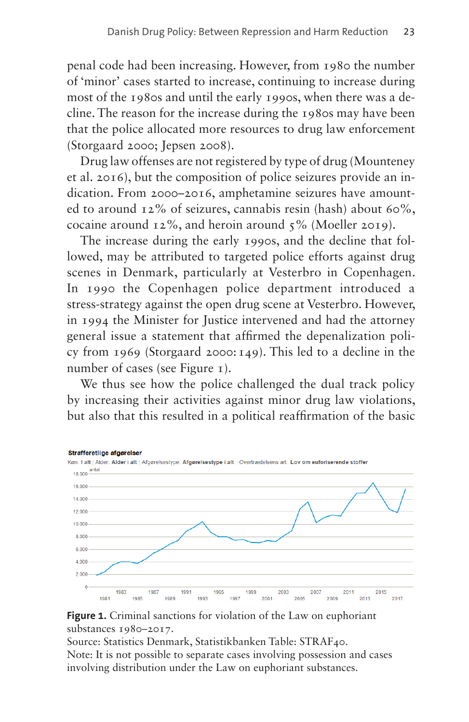penal code had been increasing. However, from 1980 the number of 'minor' cases started to increase, continuing to increase during most of the 1980s and until the early 1990s, when there was a decline. The reason for the increase during the 1980s may have been that the police allocated more resources to drug law enforcement (Storgaard 2000; Jepsen 2008).

Drug law offenses are not registered by type of drug (Mounteney et al. 2016), but the composition of police seizures provide an indication. From 2000–2016, amphetamine seizures have amounted to around  $12\%$  of seizures, cannabis resin (hash) about 60%, cocaine around 12%, and heroin around 5% (Moeller 2019).

The increase during the early 1990s, and the decline that followed, may be attributed to targeted police efforts against drug scenes in Denmark, particularly at Vesterbro in Copenhagen. In 1990 the Copenhagen police department introduced a stress-strategy against the open drug scene at Vesterbro. However, in 1994 the Minister for Justice intervened and had the attorney general issue a statement that affirmed the depenalization policy from 1969 (Storgaard 2000:149). This led to a decline in the number of cases (see [Figure 1\)](#page-10-0).

We thus see how the police challenged the dual track policy by increasing their activities against minor drug law violations, but also that this resulted in a political reaffirmation of the basic



#### <span id="page-10-0"></span>**Figure 1.** Criminal sanctions for violation of the Law on euphoriant substances 1980–2017.

Source: Statistics Denmark, Statistikbanken Table: STRAF40. Note: It is not possible to separate cases involving possession and cases involving distribution under the Law on euphoriant substances.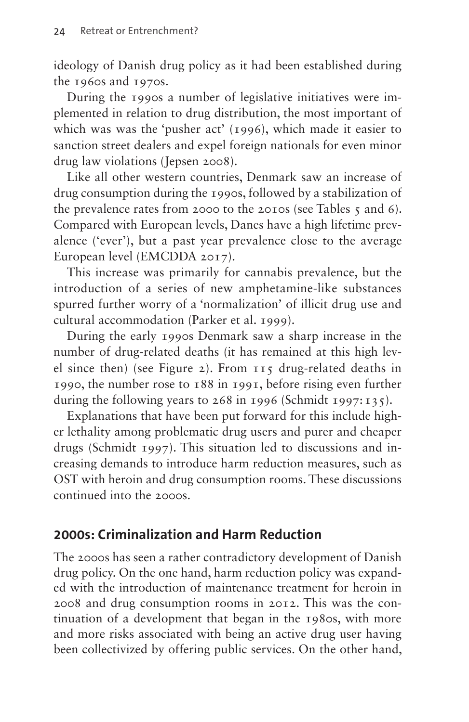ideology of Danish drug policy as it had been established during the 1960s and 1970s.

During the 1990s a number of legislative initiatives were implemented in relation to drug distribution, the most important of which was was the 'pusher act' (1996), which made it easier to sanction street dealers and expel foreign nationals for even minor drug law violations (Jepsen 2008).

Like all other western countries, Denmark saw an increase of drug consumption during the 1990s, followed by a stabilization of the prevalence rates from 2000 to the 2010s (see [Tables 5](#page-12-0) and [6](#page-12-1)). Compared with European levels, Danes have a high lifetime prevalence ('ever'), but a past year prevalence close to the average European level (EMCDDA 2017).

This increase was primarily for cannabis prevalence, but the introduction of a series of new amphetamine-like substances spurred further worry of a 'normalization' of illicit drug use and cultural accommodation (Parker et al. 1999).

During the early 1990s Denmark saw a sharp increase in the number of drug-related deaths (it has remained at this high level since then) (see [Figure 2\)](#page-13-0). From 115 drug-related deaths in 1990, the number rose to 188 in 1991, before rising even further during the following years to 268 in 1996 (Schmidt 1997:135).

Explanations that have been put forward for this include higher lethality among problematic drug users and purer and cheaper drugs (Schmidt 1997). This situation led to discussions and increasing demands to introduce harm reduction measures, such as OST with heroin and drug consumption rooms. These discussions continued into the 2000s.

#### **2000s: Criminalization and Harm Reduction**

The 2000s has seen a rather contradictory development of Danish drug policy. On the one hand, harm reduction policy was expanded with the introduction of maintenance treatment for heroin in 2008 and drug consumption rooms in 2012. This was the continuation of a development that began in the 1980s, with more and more risks associated with being an active drug user having been collectivized by offering public services. On the other hand,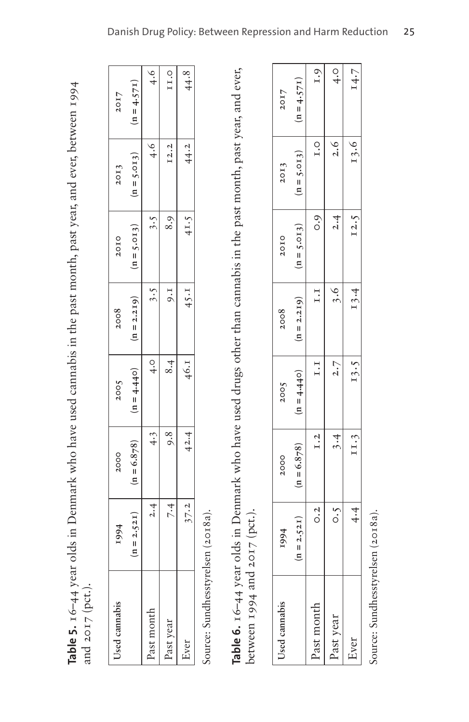| Used cannabis | 1994        | 2000          | 2005          | 2008          | 20IO             | 2013          | 20I7          |
|---------------|-------------|---------------|---------------|---------------|------------------|---------------|---------------|
|               | $n = 2.52I$ | $(n = 6.878)$ | $(n = 4.440)$ | $(n = 2.219)$ | $(n = 5.013)$    | $(n = 5.013)$ | $(n = 4.57I)$ |
| Past month    | 2.4         | 4.3           | $\frac{0}{4}$ | 3.5           | 3.5              | 4.6           | $\frac{6}{4}$ |
| Past year     | 7.4         | 8.8           | 8.4           | $.5 \times 1$ | 8.9 <sub>1</sub> | $I$ 2.2       | II.O          |
| Ever          | 37.2        | 42.4          | 46.1          | $45 \cdot I$  | 41.5             | 44.2          | 44.8          |
|               |             |               |               |               |                  |               |               |

**Table 5.** 16–44 year olds in Denmark who have used cannabis in the past month, past year, and ever, between 1994 Table 5. 16-44 year olds in Denmark who have used cannabis in the past month, past year, and ever, between 1994 and 2017 (pct.). and 2017 (pct.).

<span id="page-12-1"></span><span id="page-12-0"></span>Source: Sundhesstyrelsen (2018a). Source: Sundhesstyrelsen (2018a).

Table 6. 16-44 year olds in Denmark who have used drugs other than cannabis in the past month, past year, and ever, **Table 6.** 16–44 year olds in Denmark who have used drugs other than cannabis in the past month, past year, and ever, between 1994 and 2017 (pct.). between 1994 and 2017 (pct.).

| Used cannabis | 1994             | 2000          | 2005          | 2008          | 20IO          | 20I3               | 20I7          |
|---------------|------------------|---------------|---------------|---------------|---------------|--------------------|---------------|
|               | $(n = 2.521)$    | $(n = 6.878)$ | $(n = 4.440)$ | $(n = 2.219)$ | $(n = 5.013)$ | $(n = 5.013)$      | $(n = 4.57T)$ |
| Past month    | $\overline{0.2}$ | I.2           | 1.1           | I.I           | 0.9           | $\overline{I}$ . O | I.9           |
| Past year     | $\ddot{\circ}$   | 3.4           | 2.7           | 3.6           | 2.4           | 2.6                | $\frac{0}{4}$ |
| Ever          | 4.4              | II.3          | 13.5          | 13.4          | I2.5          | 13.6               | 14.7          |
|               |                  |               |               |               |               |                    |               |

Source: Sundhesstyrelsen (2018a). Source: Sundhesstyrelsen (2018a).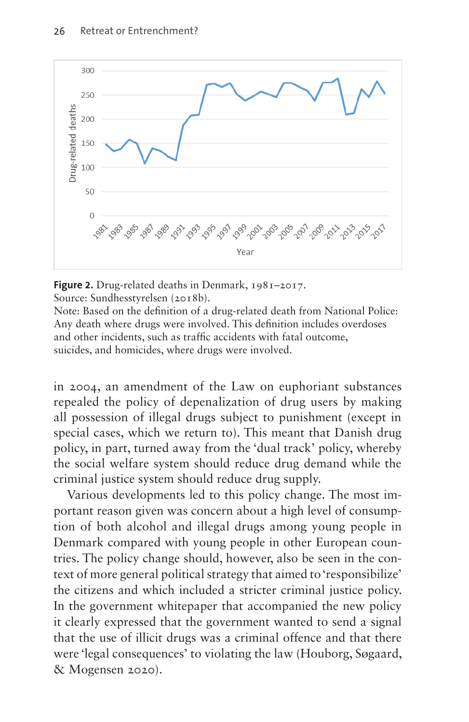

<span id="page-13-0"></span>**Figure 2.** Drug-related deaths in Denmark, 1981–2017.

Source: Sundhesstyrelsen (2018b).

Note: Based on the definition of a drug-related death from National Police: Any death where drugs were involved. This definition includes overdoses and other incidents, such as traffic accidents with fatal outcome, suicides, and homicides, where drugs were involved.

in 2004, an amendment of the Law on euphoriant substances repealed the policy of depenalization of drug users by making all possession of illegal drugs subject to punishment (except in special cases, which we return to). This meant that Danish drug policy, in part, turned away from the 'dual track' policy, whereby the social welfare system should reduce drug demand while the criminal justice system should reduce drug supply.

Various developments led to this policy change. The most important reason given was concern about a high level of consumption of both alcohol and illegal drugs among young people in Denmark compared with young people in other European countries. The policy change should, however, also be seen in the context of more general political strategy that aimed to 'responsibilize' the citizens and which included a stricter criminal justice policy. In the government whitepaper that accompanied the new policy it clearly expressed that the government wanted to send a signal that the use of illicit drugs was a criminal offence and that there were 'legal consequences' to violating the law (Houborg, Søgaard, & Mogensen 2020).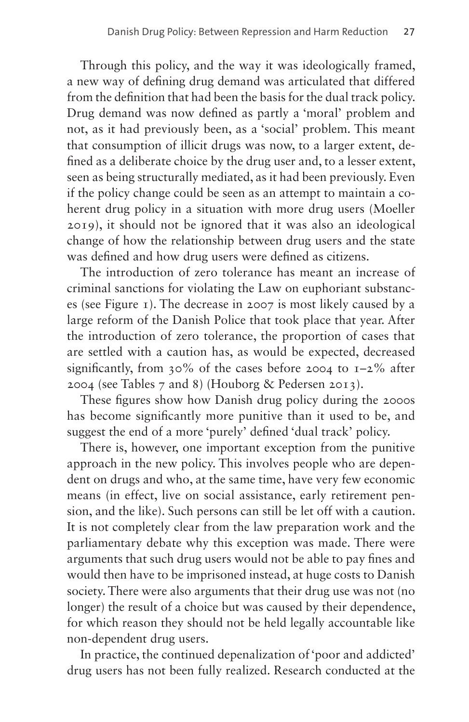Through this policy, and the way it was ideologically framed, a new way of defining drug demand was articulated that differed from the definition that had been the basis for the dual track policy. Drug demand was now defined as partly a 'moral' problem and not, as it had previously been, as a 'social' problem. This meant that consumption of illicit drugs was now, to a larger extent, defined as a deliberate choice by the drug user and, to a lesser extent, seen as being structurally mediated, as it had been previously. Even if the policy change could be seen as an attempt to maintain a coherent drug policy in a situation with more drug users (Moeller 2019), it should not be ignored that it was also an ideological change of how the relationship between drug users and the state was defined and how drug users were defined as citizens.

The introduction of zero tolerance has meant an increase of criminal sanctions for violating the Law on euphoriant substances (see [Figure 1](#page-10-0)). The decrease in 2007 is most likely caused by a large reform of the Danish Police that took place that year. After the introduction of zero tolerance, the proportion of cases that are settled with a caution has, as would be expected, decreased significantly, from 30% of the cases before 2004 to  $I - 2\%$  after 2004 (see [Tables 7](#page-15-0) and [8\)](#page-15-1) (Houborg & Pedersen 2013).

These figures show how Danish drug policy during the 2000s has become significantly more punitive than it used to be, and suggest the end of a more 'purely' defined 'dual track' policy.

There is, however, one important exception from the punitive approach in the new policy. This involves people who are dependent on drugs and who, at the same time, have very few economic means (in effect, live on social assistance, early retirement pension, and the like). Such persons can still be let off with a caution. It is not completely clear from the law preparation work and the parliamentary debate why this exception was made. There were arguments that such drug users would not be able to pay fines and would then have to be imprisoned instead, at huge costs to Danish society. There were also arguments that their drug use was not (no longer) the result of a choice but was caused by their dependence, for which reason they should not be held legally accountable like non-dependent drug users.

In practice, the continued depenalization of 'poor and addicted' drug users has not been fully realized. Research conducted at the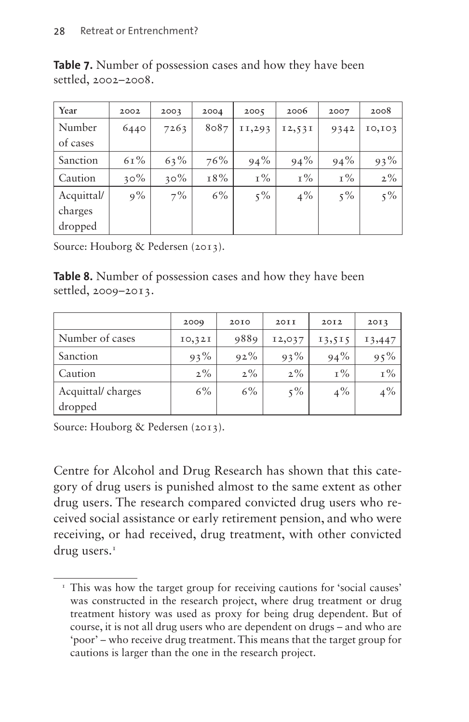| Year       | 2002   | 2003   | 2004  | 2005   | 2006   | 2007  | 2008   |
|------------|--------|--------|-------|--------|--------|-------|--------|
| Number     | 6440   | 7263   | 8087  | II,293 | 12,531 | 9342  | 10,103 |
| of cases   |        |        |       |        |        |       |        |
| Sanction   | $61\%$ | 63%    | 76%   | 94%    | 94%    | 94%   | 93%    |
| Caution    | $30\%$ | $30\%$ | 18%   | $1\%$  | $1\%$  | $I\%$ | $2\%$  |
| Acquittal/ | $9\%$  | $7\%$  | $6\%$ | $5\%$  | $4\%$  | $5\%$ | $5\%$  |
| charges    |        |        |       |        |        |       |        |
| dropped    |        |        |       |        |        |       |        |

<span id="page-15-0"></span>**Table 7.** Number of possession cases and how they have been settled, 2002–2008.

Source: Houborg & Pedersen (2013).

<span id="page-15-1"></span>**Table 8.** Number of possession cases and how they have been settled, 2009–2013.

|                   | 2009    | 2010   | 20II   | 2012   | 20I3   |
|-------------------|---------|--------|--------|--------|--------|
| Number of cases   | IO, 32I | 9889   | 12,037 | 13,515 | 13,447 |
| Sanction          | $93\%$  | $92\%$ | $93\%$ | $94\%$ | $95\%$ |
| Caution           | $2\%$   | $2\%$  | $2\%$  | $I\%$  | 1%     |
| Acquittal/charges | 6%      | 6%     | $5\%$  | $4\%$  | $4\%$  |
| dropped           |         |        |        |        |        |

Source: Houborg & Pedersen (2013).

Centre for Alcohol and Drug Research has shown that this category of drug users is punished almost to the same extent as other drug users. The research compared convicted drug users who received social assistance or early retirement pension, and who were receiving, or had received, drug treatment, with other convicted drug users.<sup>[1](#page-15-2)</sup>

<span id="page-15-2"></span><sup>&</sup>lt;sup>1</sup> This was how the target group for receiving cautions for 'social causes' was constructed in the research project, where drug treatment or drug treatment history was used as proxy for being drug dependent. But of course, it is not all drug users who are dependent on drugs – and who are 'poor' – who receive drug treatment. This means that the target group for cautions is larger than the one in the research project.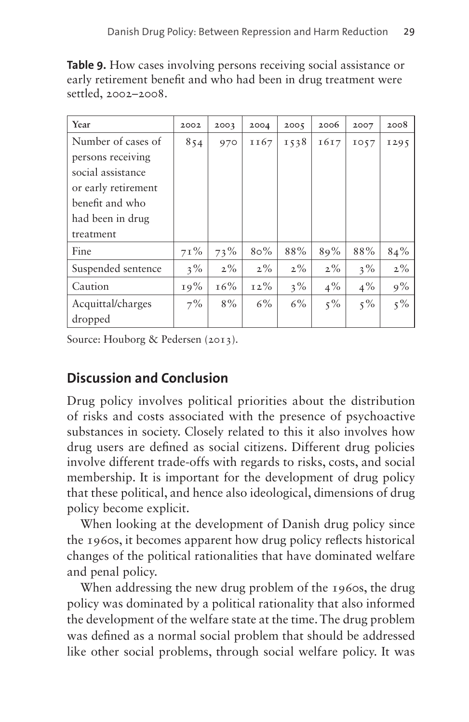| Year                | 2002   | 2003   | 2004   | 2005  | 2006  | 2007  | 2008  |
|---------------------|--------|--------|--------|-------|-------|-------|-------|
| Number of cases of  | 854    | 970    | II67   | 1538  | 1617  | 1057  | 1295  |
| persons receiving   |        |        |        |       |       |       |       |
| social assistance   |        |        |        |       |       |       |       |
| or early retirement |        |        |        |       |       |       |       |
| benefit and who     |        |        |        |       |       |       |       |
| had been in drug    |        |        |        |       |       |       |       |
| treatment           |        |        |        |       |       |       |       |
| Fine                | $71\%$ | 73%    | $80\%$ | 88%   | 89%   | 88%   | 84%   |
| Suspended sentence  | $3\%$  | $2\%$  | $2\%$  | $2\%$ | $2\%$ | $3\%$ | $2\%$ |
| Caution             | 19%    | $16\%$ | $12\%$ | $3\%$ | $4\%$ | $4\%$ | 9%    |
| Acquittal/charges   | $7\%$  | $8\%$  | $6\%$  | 6%    | $5\%$ | $5\%$ | $5\%$ |
| dropped             |        |        |        |       |       |       |       |

**Table 9.** How cases involving persons receiving social assistance or early retirement benefit and who had been in drug treatment were settled, 2002–2008.

Source: Houborg & Pedersen (2013).

# **Discussion and Conclusion**

Drug policy involves political priorities about the distribution of risks and costs associated with the presence of psychoactive substances in society. Closely related to this it also involves how drug users are defined as social citizens. Different drug policies involve different trade-offs with regards to risks, costs, and social membership. It is important for the development of drug policy that these political, and hence also ideological, dimensions of drug policy become explicit.

When looking at the development of Danish drug policy since the 1960s, it becomes apparent how drug policy reflects historical changes of the political rationalities that have dominated welfare and penal policy.

When addressing the new drug problem of the 1960s, the drug policy was dominated by a political rationality that also informed the development of the welfare state at the time. The drug problem was defined as a normal social problem that should be addressed like other social problems, through social welfare policy. It was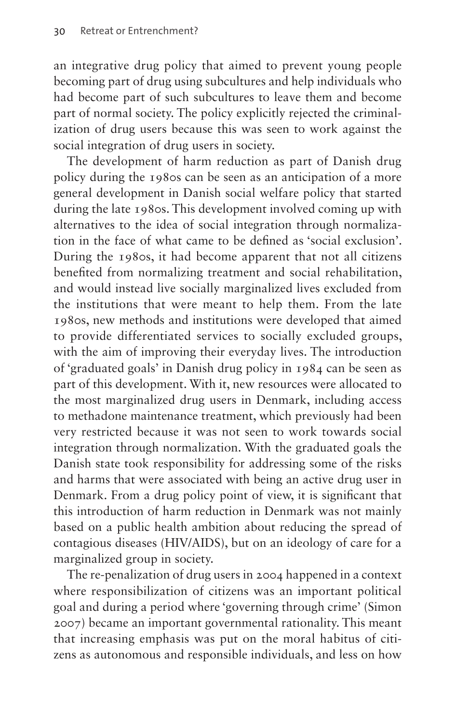an integrative drug policy that aimed to prevent young people becoming part of drug using subcultures and help individuals who had become part of such subcultures to leave them and become part of normal society. The policy explicitly rejected the criminalization of drug users because this was seen to work against the social integration of drug users in society.

The development of harm reduction as part of Danish drug policy during the 1980s can be seen as an anticipation of a more general development in Danish social welfare policy that started during the late 1980s. This development involved coming up with alternatives to the idea of social integration through normalization in the face of what came to be defined as 'social exclusion'. During the 1980s, it had become apparent that not all citizens benefited from normalizing treatment and social rehabilitation, and would instead live socially marginalized lives excluded from the institutions that were meant to help them. From the late 1980s, new methods and institutions were developed that aimed to provide differentiated services to socially excluded groups, with the aim of improving their everyday lives. The introduction of 'graduated goals' in Danish drug policy in 1984 can be seen as part of this development. With it, new resources were allocated to the most marginalized drug users in Denmark, including access to methadone maintenance treatment, which previously had been very restricted because it was not seen to work towards social integration through normalization. With the graduated goals the Danish state took responsibility for addressing some of the risks and harms that were associated with being an active drug user in Denmark. From a drug policy point of view, it is significant that this introduction of harm reduction in Denmark was not mainly based on a public health ambition about reducing the spread of contagious diseases (HIV/AIDS), but on an ideology of care for a marginalized group in society.

The re-penalization of drug users in 2004 happened in a context where responsibilization of citizens was an important political goal and during a period where 'governing through crime' (Simon 2007) became an important governmental rationality. This meant that increasing emphasis was put on the moral habitus of citizens as autonomous and responsible individuals, and less on how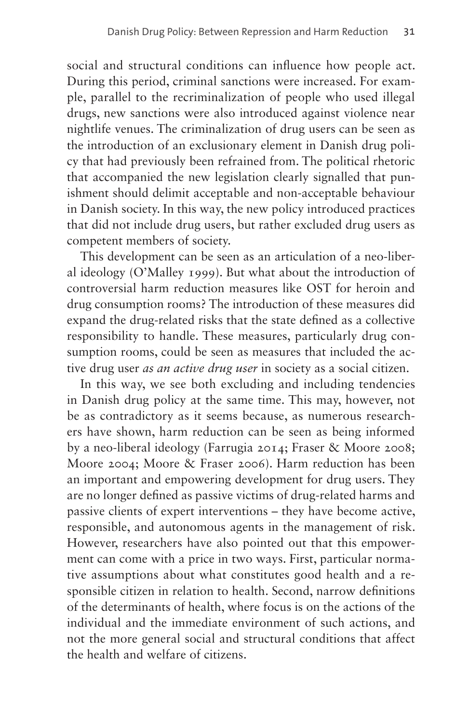social and structural conditions can influence how people act. During this period, criminal sanctions were increased. For example, parallel to the recriminalization of people who used illegal drugs, new sanctions were also introduced against violence near nightlife venues. The criminalization of drug users can be seen as the introduction of an exclusionary element in Danish drug policy that had previously been refrained from. The political rhetoric that accompanied the new legislation clearly signalled that punishment should delimit acceptable and non-acceptable behaviour in Danish society. In this way, the new policy introduced practices that did not include drug users, but rather excluded drug users as competent members of society.

This development can be seen as an articulation of a neo-liberal ideology (O'Malley 1999). But what about the introduction of controversial harm reduction measures like OST for heroin and drug consumption rooms? The introduction of these measures did expand the drug-related risks that the state defined as a collective responsibility to handle. These measures, particularly drug consumption rooms, could be seen as measures that included the active drug user *as an active drug user* in society as a social citizen.

In this way, we see both excluding and including tendencies in Danish drug policy at the same time. This may, however, not be as contradictory as it seems because, as numerous researchers have shown, harm reduction can be seen as being informed by a neo-liberal ideology (Farrugia 2014; Fraser & Moore 2008; Moore 2004; Moore & Fraser 2006). Harm reduction has been an important and empowering development for drug users. They are no longer defined as passive victims of drug-related harms and passive clients of expert interventions – they have become active, responsible, and autonomous agents in the management of risk. However, researchers have also pointed out that this empowerment can come with a price in two ways. First, particular normative assumptions about what constitutes good health and a responsible citizen in relation to health. Second, narrow definitions of the determinants of health, where focus is on the actions of the individual and the immediate environment of such actions, and not the more general social and structural conditions that affect the health and welfare of citizens.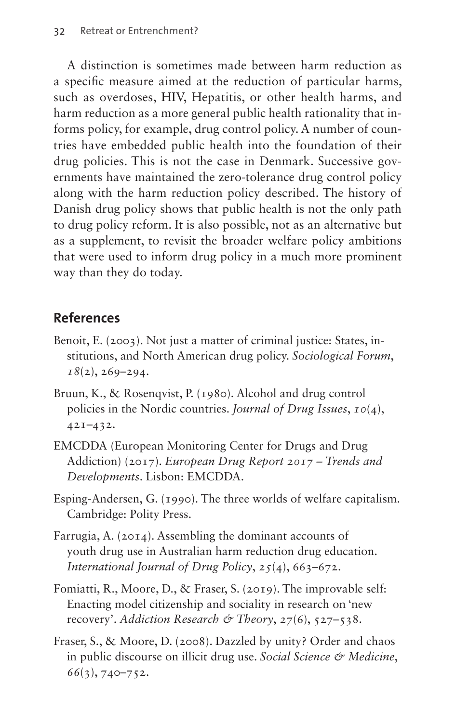A distinction is sometimes made between harm reduction as a specific measure aimed at the reduction of particular harms, such as overdoses, HIV, Hepatitis, or other health harms, and harm reduction as a more general public health rationality that informs policy, for example, drug control policy. A number of countries have embedded public health into the foundation of their drug policies. This is not the case in Denmark. Successive governments have maintained the zero-tolerance drug control policy along with the harm reduction policy described. The history of Danish drug policy shows that public health is not the only path to drug policy reform. It is also possible, not as an alternative but as a supplement, to revisit the broader welfare policy ambitions that were used to inform drug policy in a much more prominent way than they do today.

#### **References**

- Benoit, E. (2003). Not just a matter of criminal justice: States, institutions, and North American drug policy. *Sociological Forum*, *18*(2), 269–294.
- Bruun, K., & Rosenqvist, P. (1980). Alcohol and drug control policies in the Nordic countries. *Journal of Drug Issues*, *10*(4), 421–432.
- EMCDDA (European Monitoring Center for Drugs and Drug Addiction) (2017). *European Drug Report 2017 – Trends and Developments*. Lisbon: EMCDDA.
- Esping-Andersen, G. (1990). The three worlds of welfare capitalism. Cambridge: Polity Press.
- Farrugia, A. (2014). Assembling the dominant accounts of youth drug use in Australian harm reduction drug education. *International Journal of Drug Policy*, *25*(4), 663–672.
- Fomiatti, R., Moore, D., & Fraser, S. (2019). The improvable self: Enacting model citizenship and sociality in research on 'new recovery'. *Addiction Research & Theory*, *27*(6), 527–538.
- Fraser, S., & Moore, D. (2008). Dazzled by unity? Order and chaos in public discourse on illicit drug use. *Social Science & Medicine*, *66*(3), 740–752.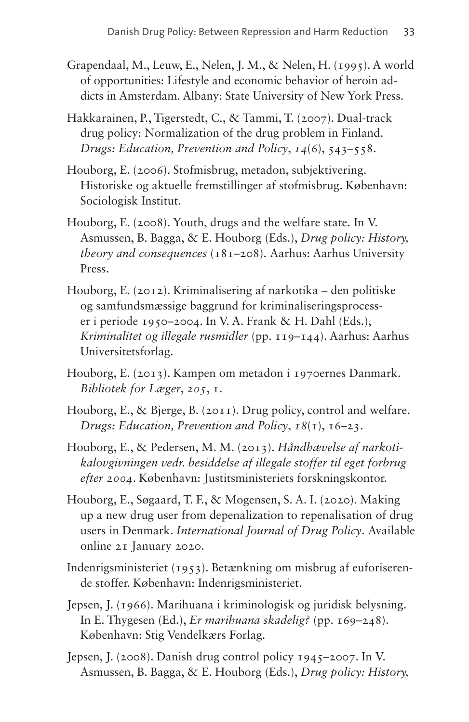- Grapendaal, M., Leuw, E., Nelen, J. M., & Nelen, H. (1995). A world of opportunities: Lifestyle and economic behavior of heroin addicts in Amsterdam. Albany: State University of New York Press.
- Hakkarainen, P., Tigerstedt, C., & Tammi, T. (2007). Dual-track drug policy: Normalization of the drug problem in Finland. *Drugs: Education, Prevention and Policy*, *14*(6), 543–558.
- Houborg, E. (2006). Stofmisbrug, metadon, subjektivering. Historiske og aktuelle fremstillinger af stofmisbrug. København: Sociologisk Institut.
- Houborg, E. (2008). Youth, drugs and the welfare state. In V. Asmussen, B. Bagga, & E. Houborg (Eds.), *Drug policy: History, theory and consequences* (181–208). Aarhus: Aarhus University Press.
- Houborg, E. (2012). Kriminalisering af narkotika den politiske og samfundsmæssige baggrund for kriminaliseringsprocesser i periode 1950–2004. In V. A. Frank & H. Dahl (Eds.), *Kriminalitet og illegale rusmidler* (pp. 119–144). Aarhus: Aarhus Universitetsforlag.
- Houborg, E. (2013). Kampen om metadon i 1970ernes Danmark. *Bibliotek for Læger*, *205*, 1.
- Houborg, E., & Bjerge, B. (2011). Drug policy, control and welfare. *Drugs: Education, Prevention and Policy*, *18*(1), 16–23.
- Houborg, E., & Pedersen, M. M. (2013). *Håndhævelse af narkotikalovgivningen vedr. besiddelse af illegale stoffer til eget forbrug efter 2004*. København: Justitsministeriets forskningskontor.
- Houborg, E., Søgaard, T. F., & Mogensen, S. A. I. (2020). Making up a new drug user from depenalization to repenalisation of drug users in Denmark. *International Journal of Drug Policy*. Available online 21 January 2020.
- Indenrigsministeriet (1953). Betænkning om misbrug af euforiserende stoffer. København: Indenrigsministeriet.
- Jepsen, J. (1966). Marihuana i kriminologisk og juridisk belysning. In E. Thygesen (Ed.), *Er marihuana skadelig?* (pp. 169–248). København: Stig Vendelkærs Forlag.
- Jepsen, J. (2008). Danish drug control policy 1945–2007. In V. Asmussen, B. Bagga, & E. Houborg (Eds.), *Drug policy: History,*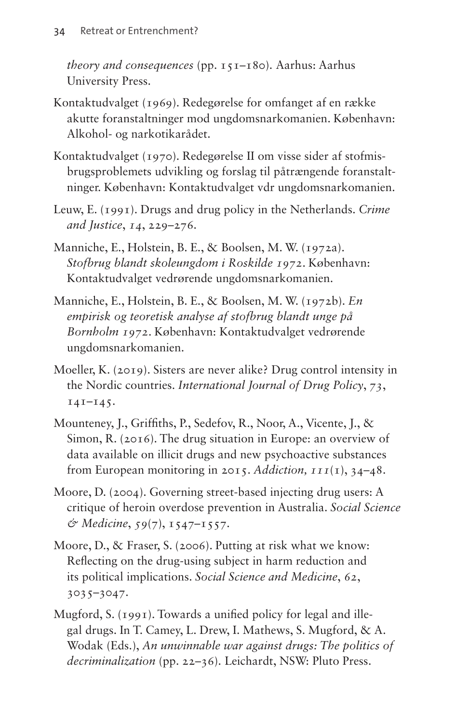*theory and consequences* (pp. 151–180). Aarhus: Aarhus University Press.

- Kontaktudvalget (1969). Redegørelse for omfanget af en række akutte foranstaltninger mod ungdomsnarkomanien. København: Alkohol- og narkotikarådet.
- Kontaktudvalget (1970). Redegørelse II om visse sider af stofmisbrugsproblemets udvikling og forslag til påtrængende foranstaltninger. København: Kontaktudvalget vdr ungdomsnarkomanien.
- Leuw, E. (1991). Drugs and drug policy in the Netherlands. *Crime and Justice*, *14*, 229–276.
- Manniche, E., Holstein, B. E., & Boolsen, M. W. (1972a). *Stofbrug blandt skoleungdom i Roskilde 1972*. København: Kontaktudvalget vedrørende ungdomsnarkomanien.
- Manniche, E., Holstein, B. E., & Boolsen, M. W. (1972b). *En empirisk og teoretisk analyse af stofbrug blandt unge på Bornholm 1972*. København: Kontaktudvalget vedrørende ungdomsnarkomanien.
- Moeller, K. (2019). Sisters are never alike? Drug control intensity in the Nordic countries. *International Journal of Drug Policy*, *73*,  $141 - 145$ .
- Mounteney, J., Griffiths, P., Sedefov, R., Noor, A., Vicente, J., & Simon, R. (2016). The drug situation in Europe: an overview of data available on illicit drugs and new psychoactive substances from European monitoring in 2015. *Addiction, 111*(1), 34–48.
- Moore, D. (2004). Governing street-based injecting drug users: A critique of heroin overdose prevention in Australia. *Social Science & Medicine*, *59*(7), 1547–1557.
- Moore, D., & Fraser, S. (2006). Putting at risk what we know: Reflecting on the drug-using subject in harm reduction and its political implications. *Social Science and Medicine*, *62*, 3035–3047.
- Mugford, S. (1991). Towards a unified policy for legal and illegal drugs. In T. Camey, L. Drew, I. Mathews, S. Mugford, & A. Wodak (Eds.), *An unwinnable war against drugs: The politics of decriminalization* (pp. 22–36). Leichardt, NSW: Pluto Press.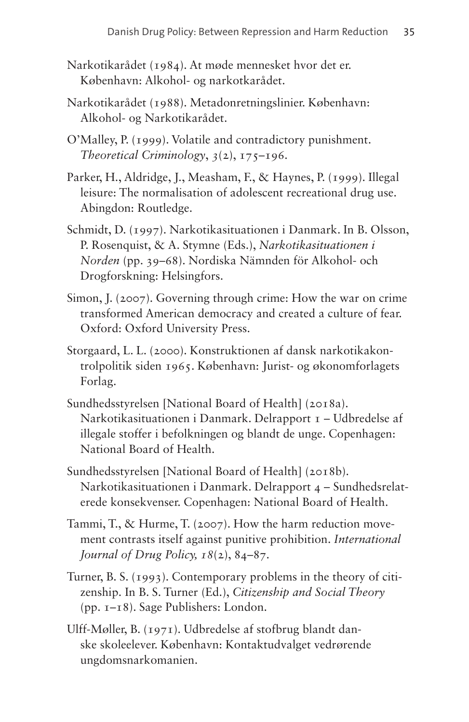- Narkotikarådet (1984). At møde mennesket hvor det er. København: Alkohol- og narkotkarådet.
- Narkotikarådet (1988). Metadonretningslinier. København: Alkohol- og Narkotikarådet.
- O'Malley, P. (1999). Volatile and contradictory punishment. *Theoretical Criminology*, *3*(2), 175–196.
- Parker, H., Aldridge, J., Measham, F., & Haynes, P. (1999). Illegal leisure: The normalisation of adolescent recreational drug use. Abingdon: Routledge.
- Schmidt, D. (1997). Narkotikasituationen i Danmark. In B. Olsson, P. Rosenquist, & A. Stymne (Eds.), *Narkotikasituationen i Norden* (pp. 39–68). Nordiska Nämnden för Alkohol- och Drogforskning: Helsingfors.
- Simon, J. (2007). Governing through crime: How the war on crime transformed American democracy and created a culture of fear. Oxford: Oxford University Press.
- Storgaard, L. L. (2000). Konstruktionen af dansk narkotikakontrolpolitik siden 1965. København: Jurist- og økonomforlagets Forlag.
- Sundhedsstyrelsen [National Board of Health] (2018a). Narkotikasituationen i Danmark. Delrapport 1 – Udbredelse af illegale stoffer i befolkningen og blandt de unge. Copenhagen: National Board of Health.
- Sundhedsstyrelsen [National Board of Health] (2018b). Narkotikasituationen i Danmark. Delrapport 4 – Sundhedsrelaterede konsekvenser. Copenhagen: National Board of Health.
- Tammi, T., & Hurme, T. (2007). How the harm reduction movement contrasts itself against punitive prohibition. *International Journal of Drug Policy, 18*(2), 84–87.
- Turner, B. S. (1993). Contemporary problems in the theory of citizenship. In B. S. Turner (Ed.), *Citizenship and Social Theory*  (pp. 1–18). Sage Publishers: London.
- Ulff-Møller, B. (1971). Udbredelse af stofbrug blandt danske skoleelever. København: Kontaktudvalget vedrørende ungdomsnarkomanien.